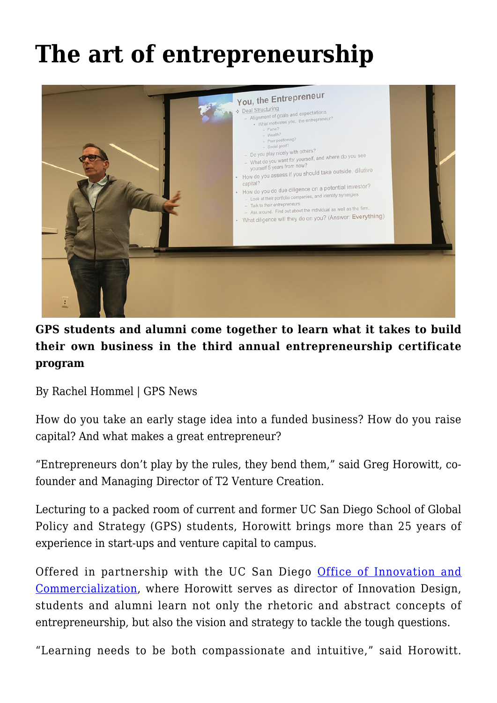## **[The art of entrepreneurship](https://gpsnews.ucsd.edu/the-art-of-entrepreneurship/)**



## **GPS students and alumni come together to learn what it takes to build their own business in the third annual entrepreneurship certificate program**

By Rachel Hommel | GPS News

How do you take an early stage idea into a funded business? How do you raise capital? And what makes a great entrepreneur?

"Entrepreneurs don't play by the rules, they bend them," said Greg Horowitt, cofounder and Managing Director of T2 Venture Creation.

Lecturing to a packed room of current and former UC San Diego School of Global Policy and Strategy (GPS) students, Horowitt brings more than 25 years of experience in start-ups and venture capital to campus.

Offered in partnership with the UC San Diego [Office of Innovation and](http://innovation.ucsd.edu/) [Commercialization,](http://innovation.ucsd.edu/) where Horowitt serves as director of Innovation Design, students and alumni learn not only the rhetoric and abstract concepts of entrepreneurship, but also the vision and strategy to tackle the tough questions.

"Learning needs to be both compassionate and intuitive," said Horowitt.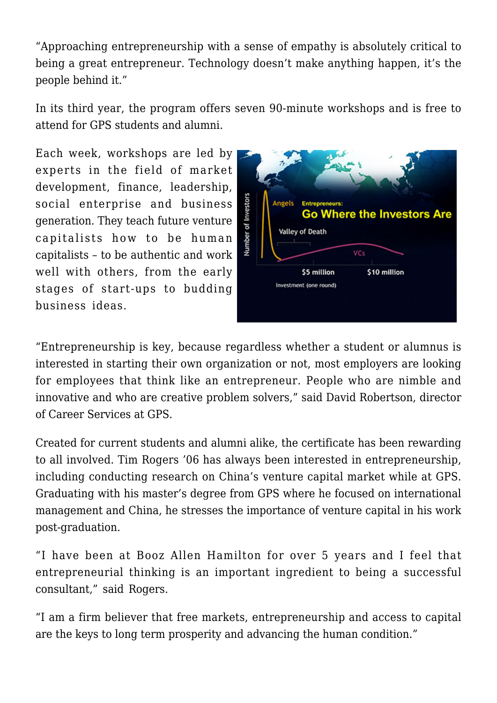"Approaching entrepreneurship with a sense of empathy is absolutely critical to being a great entrepreneur. Technology doesn't make anything happen, it's the people behind it."

In its third year, the program offers seven 90-minute workshops and is free to attend for GPS students and alumni.

Each week, workshops are led by experts in the field of market development, finance, leadership, social enterprise and business generation. They teach future venture capitalists how to be human capitalists – to be authentic and work well with others, from the early stages of start-ups to budding business ideas.



"Entrepreneurship is key, because regardless whether a student or alumnus is interested in starting their own organization or not, most employers are looking for employees that think like an entrepreneur. People who are nimble and innovative and who are creative problem solvers," said David Robertson, director of Career Services at GPS.

Created for current students and alumni alike, the certificate has been rewarding to all involved. Tim Rogers '06 has always been interested in entrepreneurship, including conducting research on China's venture capital market while at GPS. Graduating with his master's degree from GPS where he focused on international management and China, he stresses the importance of venture capital in his work post-graduation.

"I have been at Booz Allen Hamilton for over 5 years and I feel that entrepreneurial thinking is an important ingredient to being a successful consultant," said Rogers.

"I am a firm believer that free markets, entrepreneurship and access to capital are the keys to long term prosperity and advancing the human condition."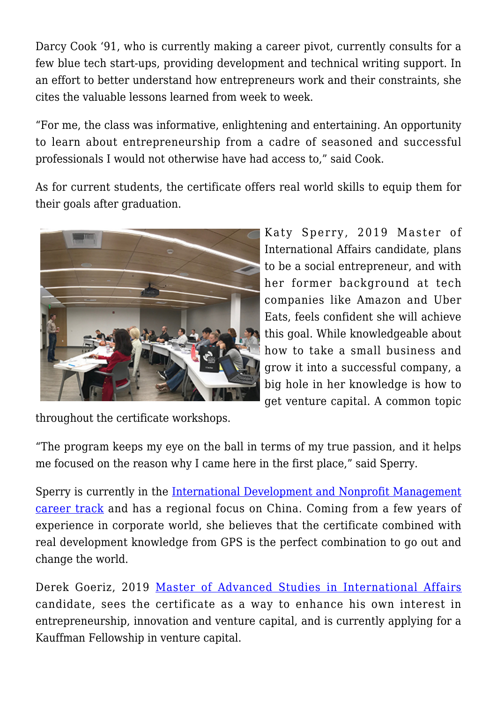Darcy Cook '91, who is currently making a career pivot, currently consults for a few blue tech start-ups, providing development and technical writing support. In an effort to better understand how entrepreneurs work and their constraints, she cites the valuable lessons learned from week to week.

"For me, the class was informative, enlightening and entertaining. An opportunity to learn about entrepreneurship from a cadre of seasoned and successful professionals I would not otherwise have had access to," said Cook.

As for current students, the certificate offers real world skills to equip them for their goals after graduation.



Katy Sperry, 2019 Master of International Affairs candidate, plans to be a social entrepreneur, and with her former background at tech companies like Amazon and Uber Eats, feels confident she will achieve this goal. While knowledgeable about how to take a small business and grow it into a successful company, a big hole in her knowledge is how to get venture capital. A common topic

throughout the certificate workshops.

"The program keeps my eye on the ball in terms of my true passion, and it helps me focused on the reason why I came here in the first place," said Sperry.

Sperry is currently in the [International Development and Nonprofit Management](https://gps.ucsd.edu/academics/mia.html#Career-Track-Requirement) [career track](https://gps.ucsd.edu/academics/mia.html#Career-Track-Requirement) and has a regional focus on China. Coming from a few years of experience in corporate world, she believes that the certificate combined with real development knowledge from GPS is the perfect combination to go out and change the world.

Derek Goeriz, 2019 [Master of Advanced Studies in International Affairs](https://gps.ucsd.edu/academics/mas-ia.html) candidate, sees the certificate as a way to enhance his own interest in entrepreneurship, innovation and venture capital, and is currently applying for a Kauffman Fellowship in venture capital.